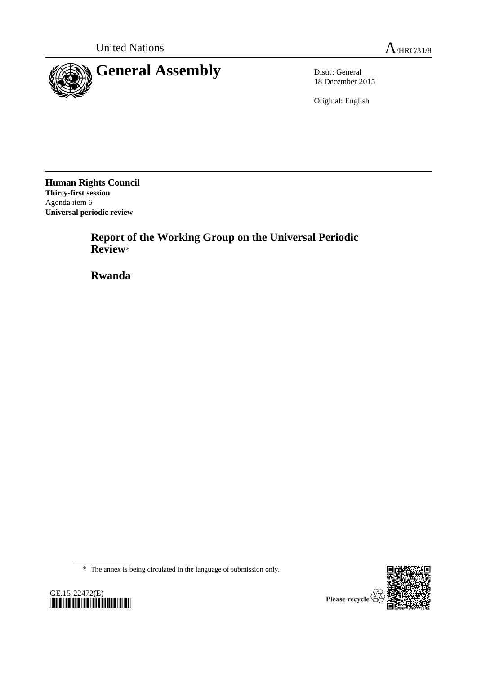



18 December 2015

Original: English

**Human Rights Council Thirty-first session** Agenda item 6 **Universal periodic review**

> **Report of the Working Group on the Universal Periodic Review**\*

**Rwanda**

\* The annex is being circulated in the language of submission only.



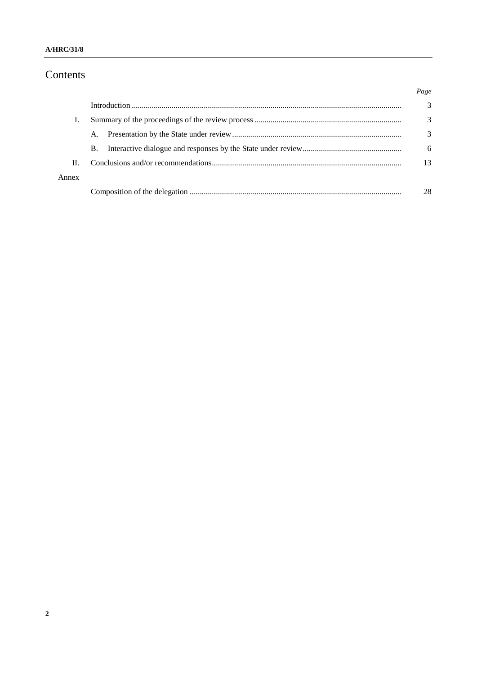### Contents

|       |           | Page |
|-------|-----------|------|
|       |           | 3    |
|       |           | 3    |
|       | A.        | 3    |
|       | <b>B.</b> | 6    |
| Н.    |           | 13   |
| Annex |           |      |
|       |           | 28   |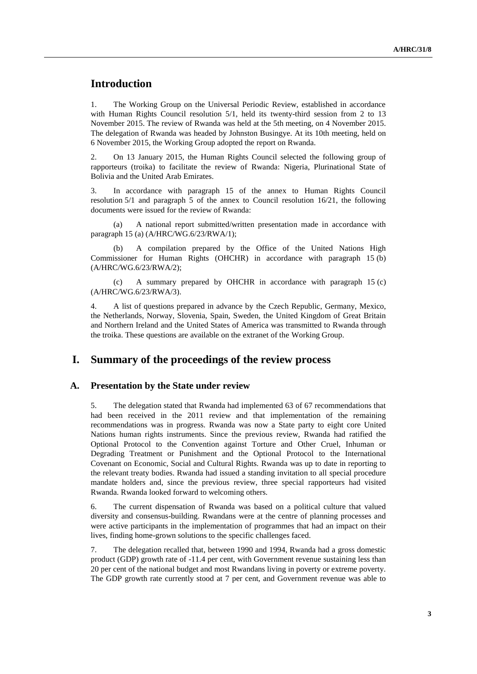## **Introduction**

1. The Working Group on the Universal Periodic Review, established in accordance with Human Rights Council resolution  $5/1$ , held its twenty-third session from 2 to 13 November 2015. The review of Rwanda was held at the 5th meeting, on 4 November 2015. The delegation of Rwanda was headed by Johnston Busingye. At its 10th meeting, held on 6 November 2015, the Working Group adopted the report on Rwanda.

2. On 13 January 2015, the Human Rights Council selected the following group of rapporteurs (troika) to facilitate the review of Rwanda: Nigeria, Plurinational State of Bolivia and the United Arab Emirates.

3. In accordance with paragraph 15 of the annex to Human Rights Council resolution 5/1 and paragraph 5 of the annex to Council resolution 16/21, the following documents were issued for the review of Rwanda:

(a) A national report submitted/written presentation made in accordance with paragraph 15 (a) (A/HRC/WG.6/23/RWA/1);

(b) A compilation prepared by the Office of the United Nations High Commissioner for Human Rights (OHCHR) in accordance with paragraph 15 (b) (A/HRC/WG.6/23/RWA/2);

(c) A summary prepared by OHCHR in accordance with paragraph 15 (c) (A/HRC/WG.6/23/RWA/3).

4. A list of questions prepared in advance by the Czech Republic, Germany, Mexico, the Netherlands, Norway, Slovenia, Spain, Sweden, the United Kingdom of Great Britain and Northern Ireland and the United States of America was transmitted to Rwanda through the troika. These questions are available on the extranet of the Working Group.

### **I. Summary of the proceedings of the review process**

### **A. Presentation by the State under review**

5. The delegation stated that Rwanda had implemented 63 of 67 recommendations that had been received in the 2011 review and that implementation of the remaining recommendations was in progress. Rwanda was now a State party to eight core United Nations human rights instruments. Since the previous review, Rwanda had ratified the Optional Protocol to the Convention against Torture and Other Cruel, Inhuman or Degrading Treatment or Punishment and the Optional Protocol to the International Covenant on Economic, Social and Cultural Rights. Rwanda was up to date in reporting to the relevant treaty bodies. Rwanda had issued a standing invitation to all special procedure mandate holders and, since the previous review, three special rapporteurs had visited Rwanda. Rwanda looked forward to welcoming others.

6. The current dispensation of Rwanda was based on a political culture that valued diversity and consensus-building. Rwandans were at the centre of planning processes and were active participants in the implementation of programmes that had an impact on their lives, finding home-grown solutions to the specific challenges faced.

7. The delegation recalled that, between 1990 and 1994, Rwanda had a gross domestic product (GDP) growth rate of -11.4 per cent, with Government revenue sustaining less than 20 per cent of the national budget and most Rwandans living in poverty or extreme poverty. The GDP growth rate currently stood at 7 per cent, and Government revenue was able to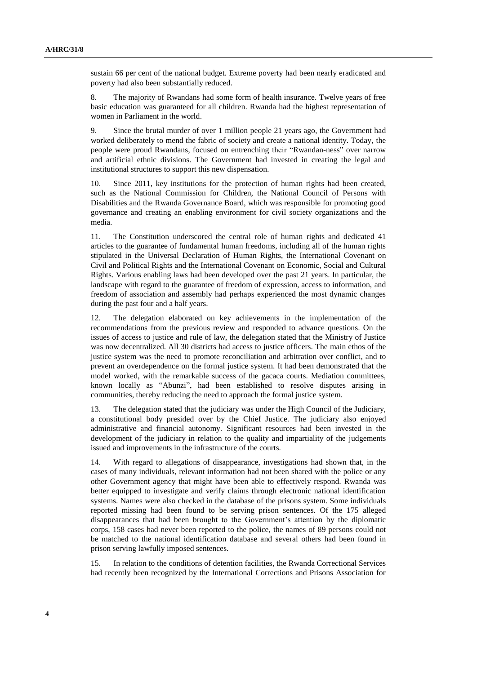sustain 66 per cent of the national budget. Extreme poverty had been nearly eradicated and poverty had also been substantially reduced.

8. The majority of Rwandans had some form of health insurance. Twelve years of free basic education was guaranteed for all children. Rwanda had the highest representation of women in Parliament in the world.

9. Since the brutal murder of over 1 million people 21 years ago, the Government had worked deliberately to mend the fabric of society and create a national identity. Today, the people were proud Rwandans, focused on entrenching their "Rwandan-ness" over narrow and artificial ethnic divisions. The Government had invested in creating the legal and institutional structures to support this new dispensation.

10. Since 2011, key institutions for the protection of human rights had been created, such as the National Commission for Children, the National Council of Persons with Disabilities and the Rwanda Governance Board, which was responsible for promoting good governance and creating an enabling environment for civil society organizations and the media.

11. The Constitution underscored the central role of human rights and dedicated 41 articles to the guarantee of fundamental human freedoms, including all of the human rights stipulated in the Universal Declaration of Human Rights, the International Covenant on Civil and Political Rights and the International Covenant on Economic, Social and Cultural Rights. Various enabling laws had been developed over the past 21 years. In particular, the landscape with regard to the guarantee of freedom of expression, access to information, and freedom of association and assembly had perhaps experienced the most dynamic changes during the past four and a half years.

12. The delegation elaborated on key achievements in the implementation of the recommendations from the previous review and responded to advance questions. On the issues of access to justice and rule of law, the delegation stated that the Ministry of Justice was now decentralized. All 30 districts had access to justice officers. The main ethos of the justice system was the need to promote reconciliation and arbitration over conflict, and to prevent an overdependence on the formal justice system. It had been demonstrated that the model worked, with the remarkable success of the gacaca courts. Mediation committees, known locally as "Abunzi", had been established to resolve disputes arising in communities, thereby reducing the need to approach the formal justice system.

13. The delegation stated that the judiciary was under the High Council of the Judiciary, a constitutional body presided over by the Chief Justice. The judiciary also enjoyed administrative and financial autonomy. Significant resources had been invested in the development of the judiciary in relation to the quality and impartiality of the judgements issued and improvements in the infrastructure of the courts.

14. With regard to allegations of disappearance, investigations had shown that, in the cases of many individuals, relevant information had not been shared with the police or any other Government agency that might have been able to effectively respond. Rwanda was better equipped to investigate and verify claims through electronic national identification systems. Names were also checked in the database of the prisons system. Some individuals reported missing had been found to be serving prison sentences. Of the 175 alleged disappearances that had been brought to the Government's attention by the diplomatic corps, 158 cases had never been reported to the police, the names of 89 persons could not be matched to the national identification database and several others had been found in prison serving lawfully imposed sentences.

15. In relation to the conditions of detention facilities, the Rwanda Correctional Services had recently been recognized by the International Corrections and Prisons Association for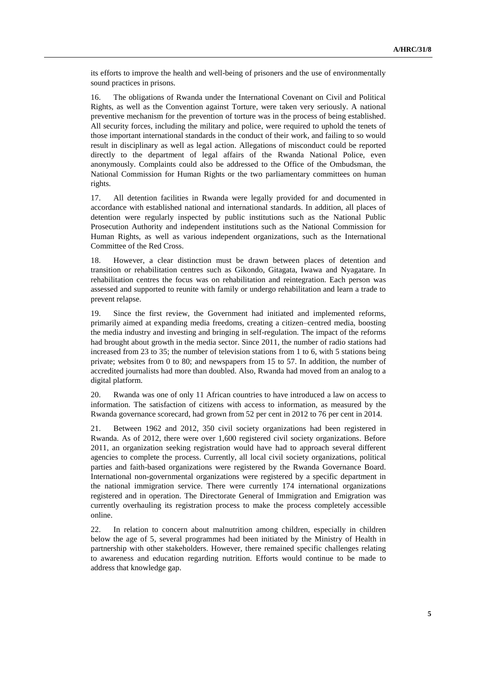its efforts to improve the health and well-being of prisoners and the use of environmentally sound practices in prisons.

16. The obligations of Rwanda under the International Covenant on Civil and Political Rights, as well as the Convention against Torture, were taken very seriously. A national preventive mechanism for the prevention of torture was in the process of being established. All security forces, including the military and police, were required to uphold the tenets of those important international standards in the conduct of their work, and failing to so would result in disciplinary as well as legal action. Allegations of misconduct could be reported directly to the department of legal affairs of the Rwanda National Police, even anonymously. Complaints could also be addressed to the Office of the Ombudsman, the National Commission for Human Rights or the two parliamentary committees on human rights.

17. All detention facilities in Rwanda were legally provided for and documented in accordance with established national and international standards. In addition, all places of detention were regularly inspected by public institutions such as the National Public Prosecution Authority and independent institutions such as the National Commission for Human Rights, as well as various independent organizations, such as the International Committee of the Red Cross.

18. However, a clear distinction must be drawn between places of detention and transition or rehabilitation centres such as Gikondo, Gitagata, Iwawa and Nyagatare. In rehabilitation centres the focus was on rehabilitation and reintegration. Each person was assessed and supported to reunite with family or undergo rehabilitation and learn a trade to prevent relapse.

19. Since the first review, the Government had initiated and implemented reforms, primarily aimed at expanding media freedoms, creating a citizen–centred media, boosting the media industry and investing and bringing in self-regulation. The impact of the reforms had brought about growth in the media sector. Since 2011, the number of radio stations had increased from 23 to 35; the number of television stations from 1 to 6, with 5 stations being private; websites from 0 to 80; and newspapers from 15 to 57. In addition, the number of accredited journalists had more than doubled. Also, Rwanda had moved from an analog to a digital platform.

20. Rwanda was one of only 11 African countries to have introduced a law on access to information. The satisfaction of citizens with access to information, as measured by the Rwanda governance scorecard, had grown from 52 per cent in 2012 to 76 per cent in 2014.

21. Between 1962 and 2012, 350 civil society organizations had been registered in Rwanda. As of 2012, there were over 1,600 registered civil society organizations. Before 2011, an organization seeking registration would have had to approach several different agencies to complete the process. Currently, all local civil society organizations, political parties and faith-based organizations were registered by the Rwanda Governance Board. International non-governmental organizations were registered by a specific department in the national immigration service. There were currently 174 international organizations registered and in operation. The Directorate General of Immigration and Emigration was currently overhauling its registration process to make the process completely accessible online.

22. In relation to concern about malnutrition among children, especially in children below the age of 5, several programmes had been initiated by the Ministry of Health in partnership with other stakeholders. However, there remained specific challenges relating to awareness and education regarding nutrition. Efforts would continue to be made to address that knowledge gap.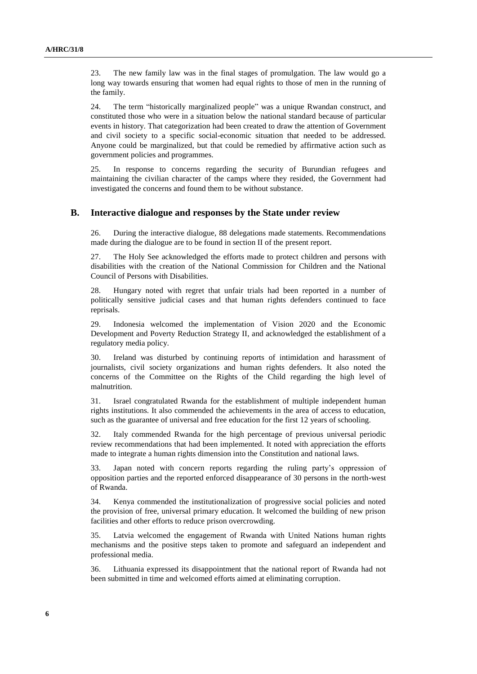23. The new family law was in the final stages of promulgation. The law would go a long way towards ensuring that women had equal rights to those of men in the running of the family.

24. The term "historically marginalized people" was a unique Rwandan construct, and constituted those who were in a situation below the national standard because of particular events in history. That categorization had been created to draw the attention of Government and civil society to a specific social-economic situation that needed to be addressed. Anyone could be marginalized, but that could be remedied by affirmative action such as government policies and programmes.

25. In response to concerns regarding the security of Burundian refugees and maintaining the civilian character of the camps where they resided, the Government had investigated the concerns and found them to be without substance.

#### **B. Interactive dialogue and responses by the State under review**

26. During the interactive dialogue, 88 delegations made statements. Recommendations made during the dialogue are to be found in section II of the present report.

27. The Holy See acknowledged the efforts made to protect children and persons with disabilities with the creation of the National Commission for Children and the National Council of Persons with Disabilities.

28. Hungary noted with regret that unfair trials had been reported in a number of politically sensitive judicial cases and that human rights defenders continued to face reprisals.

29. Indonesia welcomed the implementation of Vision 2020 and the Economic Development and Poverty Reduction Strategy II, and acknowledged the establishment of a regulatory media policy.

30. Ireland was disturbed by continuing reports of intimidation and harassment of journalists, civil society organizations and human rights defenders. It also noted the concerns of the Committee on the Rights of the Child regarding the high level of malnutrition.

31. Israel congratulated Rwanda for the establishment of multiple independent human rights institutions. It also commended the achievements in the area of access to education, such as the guarantee of universal and free education for the first 12 years of schooling.

32. Italy commended Rwanda for the high percentage of previous universal periodic review recommendations that had been implemented. It noted with appreciation the efforts made to integrate a human rights dimension into the Constitution and national laws.

33. Japan noted with concern reports regarding the ruling party's oppression of opposition parties and the reported enforced disappearance of 30 persons in the north-west of Rwanda.

34. Kenya commended the institutionalization of progressive social policies and noted the provision of free, universal primary education. It welcomed the building of new prison facilities and other efforts to reduce prison overcrowding.

35. Latvia welcomed the engagement of Rwanda with United Nations human rights mechanisms and the positive steps taken to promote and safeguard an independent and professional media.

36. Lithuania expressed its disappointment that the national report of Rwanda had not been submitted in time and welcomed efforts aimed at eliminating corruption.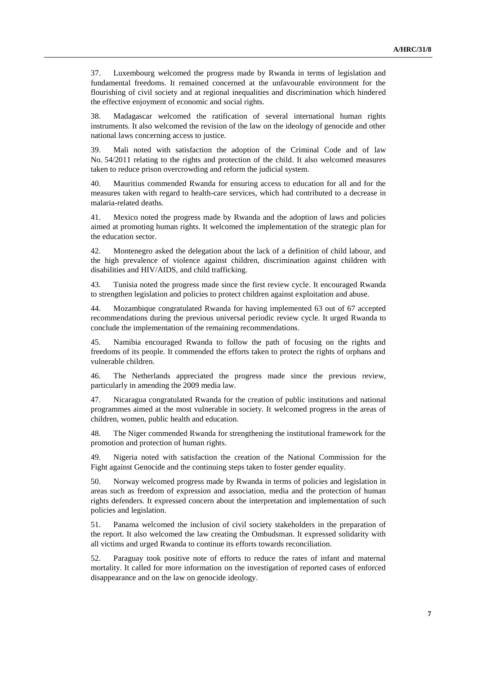37. Luxembourg welcomed the progress made by Rwanda in terms of legislation and fundamental freedoms. It remained concerned at the unfavourable environment for the flourishing of civil society and at regional inequalities and discrimination which hindered the effective enjoyment of economic and social rights.

38. Madagascar welcomed the ratification of several international human rights instruments. It also welcomed the revision of the law on the ideology of genocide and other national laws concerning access to justice.

39. Mali noted with satisfaction the adoption of the Criminal Code and of law No. 54/2011 relating to the rights and protection of the child. It also welcomed measures taken to reduce prison overcrowding and reform the judicial system.

40. Mauritius commended Rwanda for ensuring access to education for all and for the measures taken with regard to health-care services, which had contributed to a decrease in malaria-related deaths.

41. Mexico noted the progress made by Rwanda and the adoption of laws and policies aimed at promoting human rights. It welcomed the implementation of the strategic plan for the education sector.

42. Montenegro asked the delegation about the lack of a definition of child labour, and the high prevalence of violence against children, discrimination against children with disabilities and HIV/AIDS, and child trafficking.

43. Tunisia noted the progress made since the first review cycle. It encouraged Rwanda to strengthen legislation and policies to protect children against exploitation and abuse.

44. Mozambique congratulated Rwanda for having implemented 63 out of 67 accepted recommendations during the previous universal periodic review cycle. It urged Rwanda to conclude the implementation of the remaining recommendations.

45. Namibia encouraged Rwanda to follow the path of focusing on the rights and freedoms of its people. It commended the efforts taken to protect the rights of orphans and vulnerable children.

46. The Netherlands appreciated the progress made since the previous review, particularly in amending the 2009 media law.

47. Nicaragua congratulated Rwanda for the creation of public institutions and national programmes aimed at the most vulnerable in society. It welcomed progress in the areas of children, women, public health and education.

48. The Niger commended Rwanda for strengthening the institutional framework for the promotion and protection of human rights.

49. Nigeria noted with satisfaction the creation of the National Commission for the Fight against Genocide and the continuing steps taken to foster gender equality.

50. Norway welcomed progress made by Rwanda in terms of policies and legislation in areas such as freedom of expression and association, media and the protection of human rights defenders. It expressed concern about the interpretation and implementation of such policies and legislation.

51. Panama welcomed the inclusion of civil society stakeholders in the preparation of the report. It also welcomed the law creating the Ombudsman. It expressed solidarity with all victims and urged Rwanda to continue its efforts towards reconciliation.

52. Paraguay took positive note of efforts to reduce the rates of infant and maternal mortality. It called for more information on the investigation of reported cases of enforced disappearance and on the law on genocide ideology.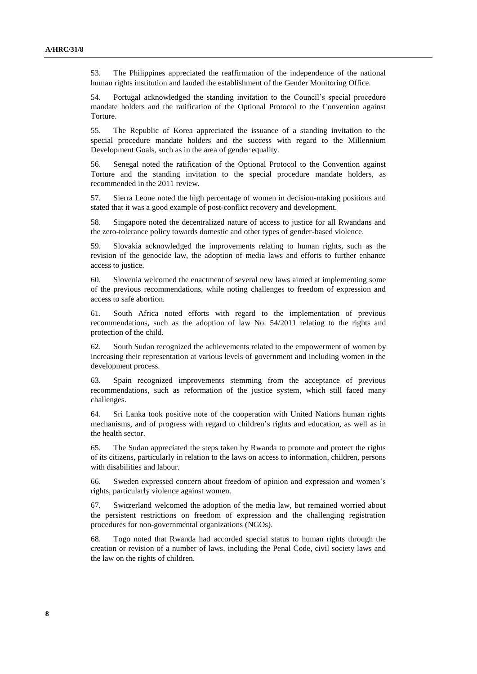53. The Philippines appreciated the reaffirmation of the independence of the national human rights institution and lauded the establishment of the Gender Monitoring Office.

54. Portugal acknowledged the standing invitation to the Council's special procedure mandate holders and the ratification of the Optional Protocol to the Convention against Torture.

55. The Republic of Korea appreciated the issuance of a standing invitation to the special procedure mandate holders and the success with regard to the Millennium Development Goals, such as in the area of gender equality.

56. Senegal noted the ratification of the Optional Protocol to the Convention against Torture and the standing invitation to the special procedure mandate holders, as recommended in the 2011 review.

57. Sierra Leone noted the high percentage of women in decision-making positions and stated that it was a good example of post-conflict recovery and development.

58. Singapore noted the decentralized nature of access to justice for all Rwandans and the zero-tolerance policy towards domestic and other types of gender-based violence.

59. Slovakia acknowledged the improvements relating to human rights, such as the revision of the genocide law, the adoption of media laws and efforts to further enhance access to justice.

60. Slovenia welcomed the enactment of several new laws aimed at implementing some of the previous recommendations, while noting challenges to freedom of expression and access to safe abortion.

61. South Africa noted efforts with regard to the implementation of previous recommendations, such as the adoption of law No. 54/2011 relating to the rights and protection of the child.

62. South Sudan recognized the achievements related to the empowerment of women by increasing their representation at various levels of government and including women in the development process.

63. Spain recognized improvements stemming from the acceptance of previous recommendations, such as reformation of the justice system, which still faced many challenges.

64. Sri Lanka took positive note of the cooperation with United Nations human rights mechanisms, and of progress with regard to children's rights and education, as well as in the health sector.

65. The Sudan appreciated the steps taken by Rwanda to promote and protect the rights of its citizens, particularly in relation to the laws on access to information, children, persons with disabilities and labour.

66. Sweden expressed concern about freedom of opinion and expression and women's rights, particularly violence against women.

67. Switzerland welcomed the adoption of the media law, but remained worried about the persistent restrictions on freedom of expression and the challenging registration procedures for non-governmental organizations (NGOs).

68. Togo noted that Rwanda had accorded special status to human rights through the creation or revision of a number of laws, including the Penal Code, civil society laws and the law on the rights of children.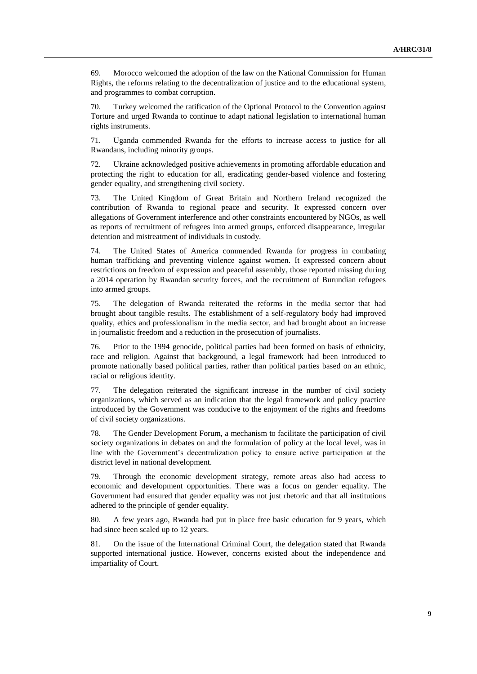69. Morocco welcomed the adoption of the law on the National Commission for Human Rights, the reforms relating to the decentralization of justice and to the educational system, and programmes to combat corruption.

70. Turkey welcomed the ratification of the Optional Protocol to the Convention against Torture and urged Rwanda to continue to adapt national legislation to international human rights instruments.

71. Uganda commended Rwanda for the efforts to increase access to justice for all Rwandans, including minority groups.

72. Ukraine acknowledged positive achievements in promoting affordable education and protecting the right to education for all, eradicating gender-based violence and fostering gender equality, and strengthening civil society.

73. The United Kingdom of Great Britain and Northern Ireland recognized the contribution of Rwanda to regional peace and security. It expressed concern over allegations of Government interference and other constraints encountered by NGOs, as well as reports of recruitment of refugees into armed groups, enforced disappearance, irregular detention and mistreatment of individuals in custody.

74. The United States of America commended Rwanda for progress in combating human trafficking and preventing violence against women. It expressed concern about restrictions on freedom of expression and peaceful assembly, those reported missing during a 2014 operation by Rwandan security forces, and the recruitment of Burundian refugees into armed groups.

75. The delegation of Rwanda reiterated the reforms in the media sector that had brought about tangible results. The establishment of a self-regulatory body had improved quality, ethics and professionalism in the media sector, and had brought about an increase in journalistic freedom and a reduction in the prosecution of journalists.

76. Prior to the 1994 genocide, political parties had been formed on basis of ethnicity, race and religion. Against that background, a legal framework had been introduced to promote nationally based political parties, rather than political parties based on an ethnic, racial or religious identity.

77. The delegation reiterated the significant increase in the number of civil society organizations, which served as an indication that the legal framework and policy practice introduced by the Government was conducive to the enjoyment of the rights and freedoms of civil society organizations.

78. The Gender Development Forum, a mechanism to facilitate the participation of civil society organizations in debates on and the formulation of policy at the local level, was in line with the Government's decentralization policy to ensure active participation at the district level in national development.

79. Through the economic development strategy, remote areas also had access to economic and development opportunities. There was a focus on gender equality. The Government had ensured that gender equality was not just rhetoric and that all institutions adhered to the principle of gender equality.

80. A few years ago, Rwanda had put in place free basic education for 9 years, which had since been scaled up to 12 years.

81. On the issue of the International Criminal Court, the delegation stated that Rwanda supported international justice. However, concerns existed about the independence and impartiality of Court.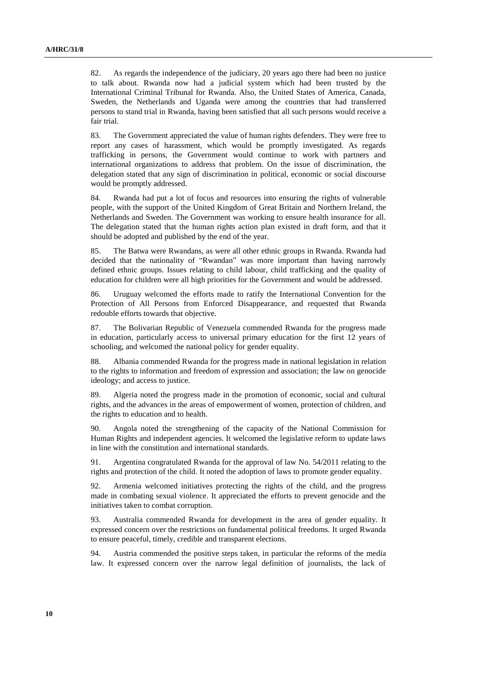82. As regards the independence of the judiciary, 20 years ago there had been no justice to talk about. Rwanda now had a judicial system which had been trusted by the International Criminal Tribunal for Rwanda. Also, the United States of America, Canada, Sweden, the Netherlands and Uganda were among the countries that had transferred persons to stand trial in Rwanda, having been satisfied that all such persons would receive a fair trial.

83. The Government appreciated the value of human rights defenders. They were free to report any cases of harassment, which would be promptly investigated. As regards trafficking in persons, the Government would continue to work with partners and international organizations to address that problem. On the issue of discrimination, the delegation stated that any sign of discrimination in political, economic or social discourse would be promptly addressed.

84. Rwanda had put a lot of focus and resources into ensuring the rights of vulnerable people, with the support of the United Kingdom of Great Britain and Northern Ireland, the Netherlands and Sweden. The Government was working to ensure health insurance for all. The delegation stated that the human rights action plan existed in draft form, and that it should be adopted and published by the end of the year.

85. The Batwa were Rwandans, as were all other ethnic groups in Rwanda. Rwanda had decided that the nationality of "Rwandan" was more important than having narrowly defined ethnic groups. Issues relating to child labour, child trafficking and the quality of education for children were all high priorities for the Government and would be addressed.

86. Uruguay welcomed the efforts made to ratify the International Convention for the Protection of All Persons from Enforced Disappearance, and requested that Rwanda redouble efforts towards that objective.

87. The Bolivarian Republic of Venezuela commended Rwanda for the progress made in education, particularly access to universal primary education for the first 12 years of schooling, and welcomed the national policy for gender equality.

88. Albania commended Rwanda for the progress made in national legislation in relation to the rights to information and freedom of expression and association; the law on genocide ideology; and access to justice.

89. Algeria noted the progress made in the promotion of economic, social and cultural rights, and the advances in the areas of empowerment of women, protection of children, and the rights to education and to health.

90. Angola noted the strengthening of the capacity of the National Commission for Human Rights and independent agencies. It welcomed the legislative reform to update laws in line with the constitution and international standards.

91. Argentina congratulated Rwanda for the approval of law No. 54/2011 relating to the rights and protection of the child. It noted the adoption of laws to promote gender equality.

92. Armenia welcomed initiatives protecting the rights of the child, and the progress made in combating sexual violence. It appreciated the efforts to prevent genocide and the initiatives taken to combat corruption.

93. Australia commended Rwanda for development in the area of gender equality. It expressed concern over the restrictions on fundamental political freedoms. It urged Rwanda to ensure peaceful, timely, credible and transparent elections.

94. Austria commended the positive steps taken, in particular the reforms of the media law. It expressed concern over the narrow legal definition of journalists, the lack of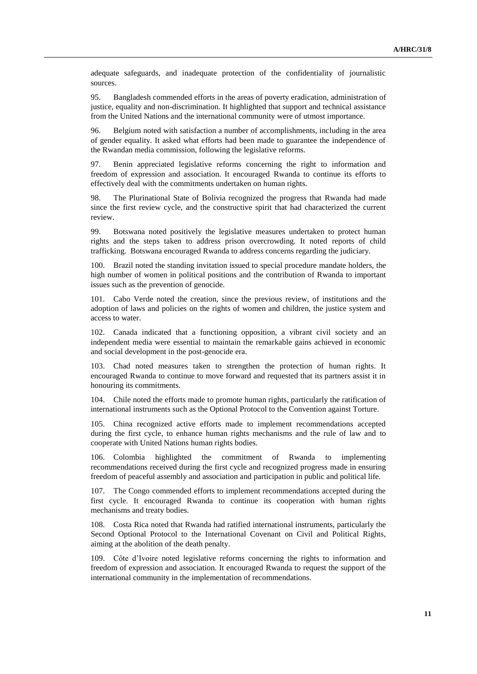adequate safeguards, and inadequate protection of the confidentiality of journalistic sources.

95. Bangladesh commended efforts in the areas of poverty eradication, administration of justice, equality and non-discrimination. It highlighted that support and technical assistance from the United Nations and the international community were of utmost importance.

96. Belgium noted with satisfaction a number of accomplishments, including in the area of gender equality. It asked what efforts had been made to guarantee the independence of the Rwandan media commission, following the legislative reforms.

97. Benin appreciated legislative reforms concerning the right to information and freedom of expression and association. It encouraged Rwanda to continue its efforts to effectively deal with the commitments undertaken on human rights.

98. The Plurinational State of Bolivia recognized the progress that Rwanda had made since the first review cycle, and the constructive spirit that had characterized the current review.

99. Botswana noted positively the legislative measures undertaken to protect human rights and the steps taken to address prison overcrowding. It noted reports of child trafficking. Botswana encouraged Rwanda to address concerns regarding the judiciary.

100. Brazil noted the standing invitation issued to special procedure mandate holders, the high number of women in political positions and the contribution of Rwanda to important issues such as the prevention of genocide.

101. Cabo Verde noted the creation, since the previous review, of institutions and the adoption of laws and policies on the rights of women and children, the justice system and access to water.

102. Canada indicated that a functioning opposition, a vibrant civil society and an independent media were essential to maintain the remarkable gains achieved in economic and social development in the post-genocide era.

103. Chad noted measures taken to strengthen the protection of human rights. It encouraged Rwanda to continue to move forward and requested that its partners assist it in honouring its commitments.

104. Chile noted the efforts made to promote human rights, particularly the ratification of international instruments such as the Optional Protocol to the Convention against Torture.

105. China recognized active efforts made to implement recommendations accepted during the first cycle, to enhance human rights mechanisms and the rule of law and to cooperate with United Nations human rights bodies.

106. Colombia highlighted the commitment of Rwanda to implementing recommendations received during the first cycle and recognized progress made in ensuring freedom of peaceful assembly and association and participation in public and political life.

107. The Congo commended efforts to implement recommendations accepted during the first cycle. It encouraged Rwanda to continue its cooperation with human rights mechanisms and treaty bodies.

108. Costa Rica noted that Rwanda had ratified international instruments, particularly the Second Optional Protocol to the International Covenant on Civil and Political Rights, aiming at the abolition of the death penalty.

109. Côte d'Ivoire noted legislative reforms concerning the rights to information and freedom of expression and association. It encouraged Rwanda to request the support of the international community in the implementation of recommendations.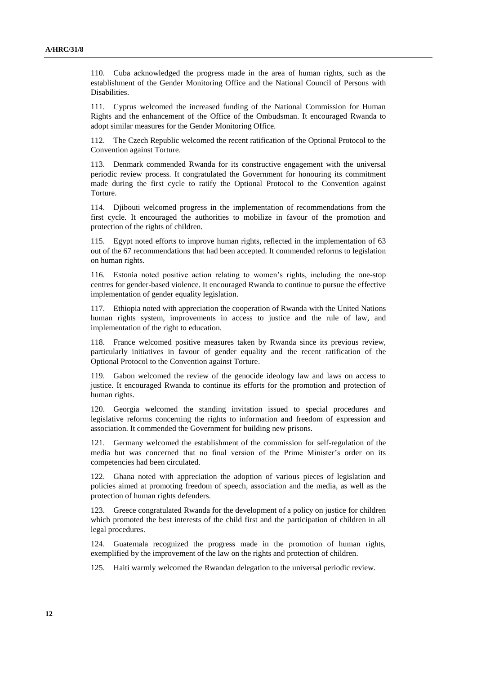110. Cuba acknowledged the progress made in the area of human rights, such as the establishment of the Gender Monitoring Office and the National Council of Persons with Disabilities.

111. Cyprus welcomed the increased funding of the National Commission for Human Rights and the enhancement of the Office of the Ombudsman. It encouraged Rwanda to adopt similar measures for the Gender Monitoring Office.

112. The Czech Republic welcomed the recent ratification of the Optional Protocol to the Convention against Torture.

113. Denmark commended Rwanda for its constructive engagement with the universal periodic review process. It congratulated the Government for honouring its commitment made during the first cycle to ratify the Optional Protocol to the Convention against Torture.

114. Djibouti welcomed progress in the implementation of recommendations from the first cycle. It encouraged the authorities to mobilize in favour of the promotion and protection of the rights of children.

115. Egypt noted efforts to improve human rights, reflected in the implementation of 63 out of the 67 recommendations that had been accepted. It commended reforms to legislation on human rights.

116. Estonia noted positive action relating to women's rights, including the one-stop centres for gender-based violence. It encouraged Rwanda to continue to pursue the effective implementation of gender equality legislation.

117. Ethiopia noted with appreciation the cooperation of Rwanda with the United Nations human rights system, improvements in access to justice and the rule of law, and implementation of the right to education.

118. France welcomed positive measures taken by Rwanda since its previous review, particularly initiatives in favour of gender equality and the recent ratification of the Optional Protocol to the Convention against Torture.

119. Gabon welcomed the review of the genocide ideology law and laws on access to justice. It encouraged Rwanda to continue its efforts for the promotion and protection of human rights.

120. Georgia welcomed the standing invitation issued to special procedures and legislative reforms concerning the rights to information and freedom of expression and association. It commended the Government for building new prisons.

121. Germany welcomed the establishment of the commission for self-regulation of the media but was concerned that no final version of the Prime Minister's order on its competencies had been circulated.

122. Ghana noted with appreciation the adoption of various pieces of legislation and policies aimed at promoting freedom of speech, association and the media, as well as the protection of human rights defenders.

123. Greece congratulated Rwanda for the development of a policy on justice for children which promoted the best interests of the child first and the participation of children in all legal procedures.

124. Guatemala recognized the progress made in the promotion of human rights, exemplified by the improvement of the law on the rights and protection of children.

125. Haiti warmly welcomed the Rwandan delegation to the universal periodic review.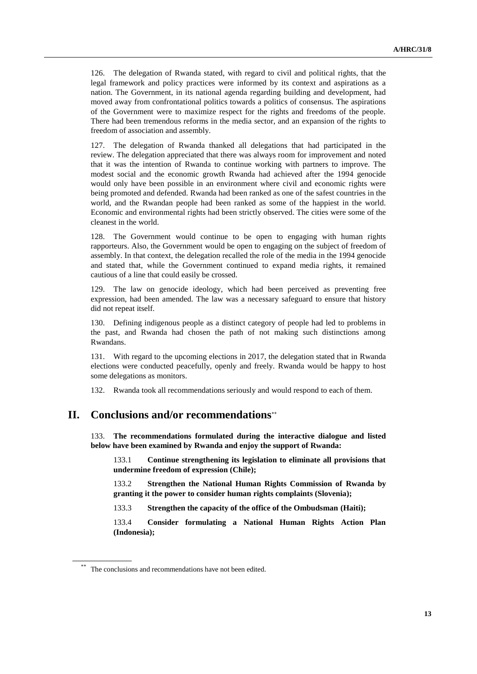126. The delegation of Rwanda stated, with regard to civil and political rights, that the legal framework and policy practices were informed by its context and aspirations as a nation. The Government, in its national agenda regarding building and development, had moved away from confrontational politics towards a politics of consensus. The aspirations of the Government were to maximize respect for the rights and freedoms of the people. There had been tremendous reforms in the media sector, and an expansion of the rights to freedom of association and assembly.

127. The delegation of Rwanda thanked all delegations that had participated in the review. The delegation appreciated that there was always room for improvement and noted that it was the intention of Rwanda to continue working with partners to improve. The modest social and the economic growth Rwanda had achieved after the 1994 genocide would only have been possible in an environment where civil and economic rights were being promoted and defended. Rwanda had been ranked as one of the safest countries in the world, and the Rwandan people had been ranked as some of the happiest in the world. Economic and environmental rights had been strictly observed. The cities were some of the cleanest in the world.

128. The Government would continue to be open to engaging with human rights rapporteurs. Also, the Government would be open to engaging on the subject of freedom of assembly. In that context, the delegation recalled the role of the media in the 1994 genocide and stated that, while the Government continued to expand media rights, it remained cautious of a line that could easily be crossed.

129. The law on genocide ideology, which had been perceived as preventing free expression, had been amended. The law was a necessary safeguard to ensure that history did not repeat itself.

130. Defining indigenous people as a distinct category of people had led to problems in the past, and Rwanda had chosen the path of not making such distinctions among Rwandans.

131. With regard to the upcoming elections in 2017, the delegation stated that in Rwanda elections were conducted peacefully, openly and freely. Rwanda would be happy to host some delegations as monitors.

132. Rwanda took all recommendations seriously and would respond to each of them.

### **II. Conclusions and/or recommendations**

133. **The recommendations formulated during the interactive dialogue and listed below have been examined by Rwanda and enjoy the support of Rwanda:**

133.1 **Continue strengthening its legislation to eliminate all provisions that undermine freedom of expression (Chile);**

133.2 **Strengthen the National Human Rights Commission of Rwanda by granting it the power to consider human rights complaints (Slovenia);**

133.3 **Strengthen the capacity of the office of the Ombudsman (Haiti);**

133.4 **Consider formulating a National Human Rights Action Plan (Indonesia);**

The conclusions and recommendations have not been edited.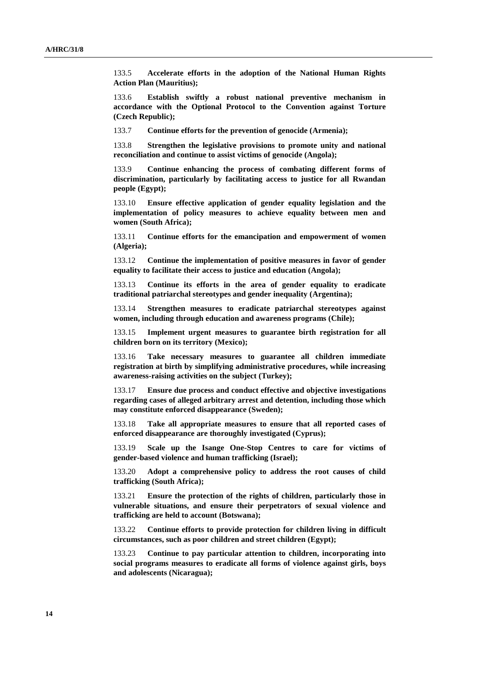133.5 **Accelerate efforts in the adoption of the National Human Rights Action Plan (Mauritius);**

133.6 **Establish swiftly a robust national preventive mechanism in accordance with the Optional Protocol to the Convention against Torture (Czech Republic);**

133.7 **Continue efforts for the prevention of genocide (Armenia);**

133.8 **Strengthen the legislative provisions to promote unity and national reconciliation and continue to assist victims of genocide (Angola);**

133.9 **Continue enhancing the process of combating different forms of discrimination, particularly by facilitating access to justice for all Rwandan people (Egypt);**

133.10 **Ensure effective application of gender equality legislation and the implementation of policy measures to achieve equality between men and women (South Africa);**

133.11 **Continue efforts for the emancipation and empowerment of women (Algeria);**

133.12 **Continue the implementation of positive measures in favor of gender equality to facilitate their access to justice and education (Angola);**

133.13 **Continue its efforts in the area of gender equality to eradicate traditional patriarchal stereotypes and gender inequality (Argentina);**

133.14 **Strengthen measures to eradicate patriarchal stereotypes against women, including through education and awareness programs (Chile);**

133.15 **Implement urgent measures to guarantee birth registration for all children born on its territory (Mexico);**

133.16 **Take necessary measures to guarantee all children immediate registration at birth by simplifying administrative procedures, while increasing awareness-raising activities on the subject (Turkey);**

133.17 **Ensure due process and conduct effective and objective investigations regarding cases of alleged arbitrary arrest and detention, including those which may constitute enforced disappearance (Sweden);**

133.18 **Take all appropriate measures to ensure that all reported cases of enforced disappearance are thoroughly investigated (Cyprus);**

133.19 **Scale up the Isange One-Stop Centres to care for victims of gender-based violence and human trafficking (Israel);**

133.20 **Adopt a comprehensive policy to address the root causes of child trafficking (South Africa);**

133.21 **Ensure the protection of the rights of children, particularly those in vulnerable situations, and ensure their perpetrators of sexual violence and trafficking are held to account (Botswana);**

133.22 **Continue efforts to provide protection for children living in difficult circumstances, such as poor children and street children (Egypt);**

133.23 **Continue to pay particular attention to children, incorporating into social programs measures to eradicate all forms of violence against girls, boys and adolescents (Nicaragua);**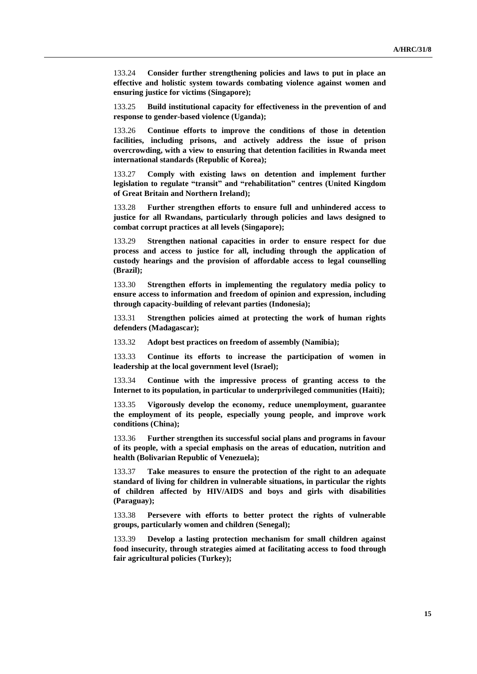133.24 **Consider further strengthening policies and laws to put in place an effective and holistic system towards combating violence against women and ensuring justice for victims (Singapore);**

133.25 **Build institutional capacity for effectiveness in the prevention of and response to gender-based violence (Uganda);**

133.26 **Continue efforts to improve the conditions of those in detention facilities, including prisons, and actively address the issue of prison overcrowding, with a view to ensuring that detention facilities in Rwanda meet international standards (Republic of Korea);**

133.27 **Comply with existing laws on detention and implement further legislation to regulate "transit" and "rehabilitation" centres (United Kingdom of Great Britain and Northern Ireland);**

133.28 **Further strengthen efforts to ensure full and unhindered access to justice for all Rwandans, particularly through policies and laws designed to combat corrupt practices at all levels (Singapore);**

133.29 **Strengthen national capacities in order to ensure respect for due process and access to justice for all, including through the application of custody hearings and the provision of affordable access to legal counselling (Brazil);**

133.30 **Strengthen efforts in implementing the regulatory media policy to ensure access to information and freedom of opinion and expression, including through capacity-building of relevant parties (Indonesia);**

133.31 **Strengthen policies aimed at protecting the work of human rights defenders (Madagascar);**

133.32 **Adopt best practices on freedom of assembly (Namibia);**

133.33 **Continue its efforts to increase the participation of women in leadership at the local government level (Israel);**

133.34 **Continue with the impressive process of granting access to the Internet to its population, in particular to underprivileged communities (Haiti);**

133.35 **Vigorously develop the economy, reduce unemployment, guarantee the employment of its people, especially young people, and improve work conditions (China);**

133.36 **Further strengthen its successful social plans and programs in favour of its people, with a special emphasis on the areas of education, nutrition and health (Bolivarian Republic of Venezuela);**

133.37 **Take measures to ensure the protection of the right to an adequate standard of living for children in vulnerable situations, in particular the rights of children affected by HIV/AIDS and boys and girls with disabilities (Paraguay);**

133.38 **Persevere with efforts to better protect the rights of vulnerable groups, particularly women and children (Senegal);**

133.39 **Develop a lasting protection mechanism for small children against food insecurity, through strategies aimed at facilitating access to food through fair agricultural policies (Turkey);**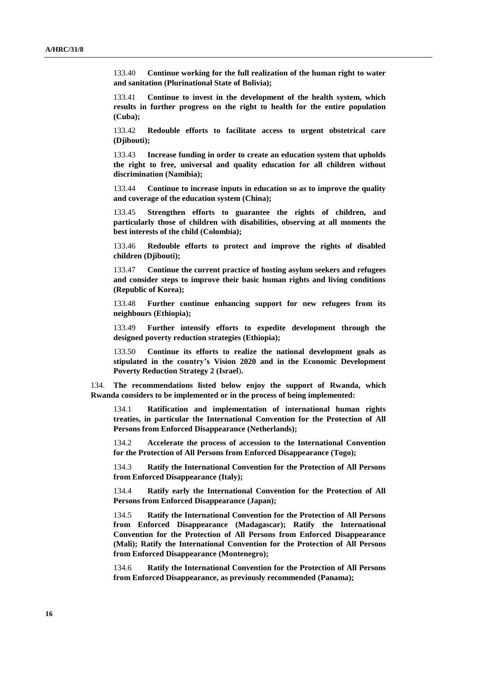133.40 **Continue working for the full realization of the human right to water and sanitation (Plurinational State of Bolivia);**

133.41 **Continue to invest in the development of the health system, which results in further progress on the right to health for the entire population (Cuba);**

133.42 **Redouble efforts to facilitate access to urgent obstetrical care (Djibouti);**

133.43 **Increase funding in order to create an education system that upholds the right to free, universal and quality education for all children without discrimination (Namibia);**

133.44 **Continue to increase inputs in education so as to improve the quality and coverage of the education system (China);**

133.45 **Strengthen efforts to guarantee the rights of children, and particularly those of children with disabilities, observing at all moments the best interests of the child (Colombia);**

133.46 **Redouble efforts to protect and improve the rights of disabled children (Djibouti);**

133.47 **Continue the current practice of hosting asylum seekers and refugees and consider steps to improve their basic human rights and living conditions (Republic of Korea);**

133.48 **Further continue enhancing support for new refugees from its neighbours (Ethiopia);**

133.49 **Further intensify efforts to expedite development through the designed poverty reduction strategies (Ethiopia);**

133.50 **Continue its efforts to realize the national development goals as stipulated in the country's Vision 2020 and in the Economic Development Poverty Reduction Strategy 2 (Israel**)**.**

134. **The recommendations listed below enjoy the support of Rwanda, which Rwanda considers to be implemented or in the process of being implemented:**

134.1 **Ratification and implementation of international human rights treaties, in particular the International Convention for the Protection of All Persons from Enforced Disappearance (Netherlands);**

134.2 **Accelerate the process of accession to the International Convention for the Protection of All Persons from Enforced Disappearance (Togo);**

134.3 **Ratify the International Convention for the Protection of All Persons from Enforced Disappearance (Italy);**

134.4 **Ratify early the International Convention for the Protection of All Persons from Enforced Disappearance (Japan);**

134.5 **Ratify the International Convention for the Protection of All Persons from Enforced Disappearance (Madagascar); Ratify the International Convention for the Protection of All Persons from Enforced Disappearance (Mali); Ratify the International Convention for the Protection of All Persons from Enforced Disappearance (Montenegro);**

134.6 **Ratify the International Convention for the Protection of All Persons from Enforced Disappearance, as previously recommended (Panama);**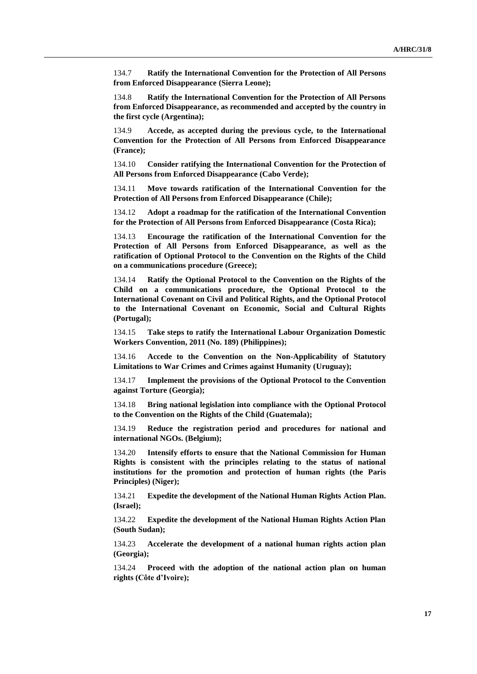134.7 **Ratify the International Convention for the Protection of All Persons from Enforced Disappearance (Sierra Leone);**

134.8 **Ratify the International Convention for the Protection of All Persons from Enforced Disappearance, as recommended and accepted by the country in the first cycle (Argentina);**

134.9 **Accede, as accepted during the previous cycle, to the International Convention for the Protection of All Persons from Enforced Disappearance (France);**

134.10 **Consider ratifying the International Convention for the Protection of All Persons from Enforced Disappearance (Cabo Verde);**

134.11 **Move towards ratification of the International Convention for the Protection of All Persons from Enforced Disappearance (Chile);**

134.12 **Adopt a roadmap for the ratification of the International Convention for the Protection of All Persons from Enforced Disappearance (Costa Rica);**

134.13 **Encourage the ratification of the International Convention for the Protection of All Persons from Enforced Disappearance, as well as the ratification of Optional Protocol to the Convention on the Rights of the Child on a communications procedure (Greece);**

134.14 **Ratify the Optional Protocol to the Convention on the Rights of the Child on a communications procedure, the Optional Protocol to the International Covenant on Civil and Political Rights, and the Optional Protocol to the International Covenant on Economic, Social and Cultural Rights (Portugal);**

134.15 **Take steps to ratify the International Labour Organization Domestic Workers Convention, 2011 (No. 189) (Philippines);**

134.16 **Accede to the Convention on the Non-Applicability of Statutory Limitations to War Crimes and Crimes against Humanity (Uruguay);**

134.17 **Implement the provisions of the Optional Protocol to the Convention against Torture (Georgia);**

134.18 **Bring national legislation into compliance with the Optional Protocol to the Convention on the Rights of the Child (Guatemala);**

134.19 **Reduce the registration period and procedures for national and international NGOs. (Belgium);**

134.20 **Intensify efforts to ensure that the National Commission for Human Rights is consistent with the principles relating to the status of national institutions for the promotion and protection of human rights (the Paris Principles) (Niger);**

134.21 **Expedite the development of the National Human Rights Action Plan. (Israel);**

134.22 **Expedite the development of the National Human Rights Action Plan (South Sudan);**

134.23 **Accelerate the development of a national human rights action plan (Georgia);**

134.24 **Proceed with the adoption of the national action plan on human rights (Côte d'Ivoire);**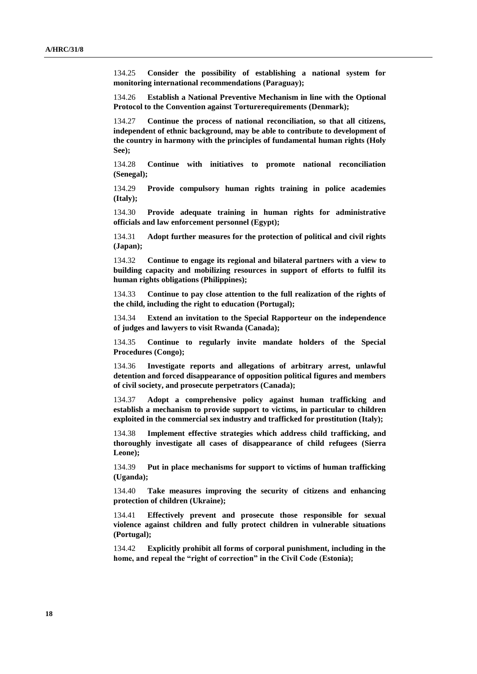134.25 **Consider the possibility of establishing a national system for monitoring international recommendations (Paraguay);**

134.26 **Establish a National Preventive Mechanism in line with the Optional Protocol to the Convention against Torturerequirements (Denmark);**

134.27 **Continue the process of national reconciliation, so that all citizens, independent of ethnic background, may be able to contribute to development of the country in harmony with the principles of fundamental human rights (Holy See);**

134.28 **Continue with initiatives to promote national reconciliation (Senegal);**

134.29 **Provide compulsory human rights training in police academies (Italy);**

134.30 **Provide adequate training in human rights for administrative officials and law enforcement personnel (Egypt);**

134.31 **Adopt further measures for the protection of political and civil rights (Japan);**

134.32 **Continue to engage its regional and bilateral partners with a view to building capacity and mobilizing resources in support of efforts to fulfil its human rights obligations (Philippines);**

134.33 **Continue to pay close attention to the full realization of the rights of the child, including the right to education (Portugal);**

134.34 **Extend an invitation to the Special Rapporteur on the independence of judges and lawyers to visit Rwanda (Canada);**

134.35 **Continue to regularly invite mandate holders of the Special Procedures (Congo);**

134.36 **Investigate reports and allegations of arbitrary arrest, unlawful detention and forced disappearance of opposition political figures and members of civil society, and prosecute perpetrators (Canada);**

134.37 **Adopt a comprehensive policy against human trafficking and establish a mechanism to provide support to victims, in particular to children exploited in the commercial sex industry and trafficked for prostitution (Italy);**

134.38 **Implement effective strategies which address child trafficking, and thoroughly investigate all cases of disappearance of child refugees (Sierra Leone);**

134.39 **Put in place mechanisms for support to victims of human trafficking (Uganda);**

134.40 **Take measures improving the security of citizens and enhancing protection of children (Ukraine);**

134.41 **Effectively prevent and prosecute those responsible for sexual violence against children and fully protect children in vulnerable situations (Portugal);**

134.42 **Explicitly prohibit all forms of corporal punishment, including in the home, and repeal the "right of correction" in the Civil Code (Estonia);**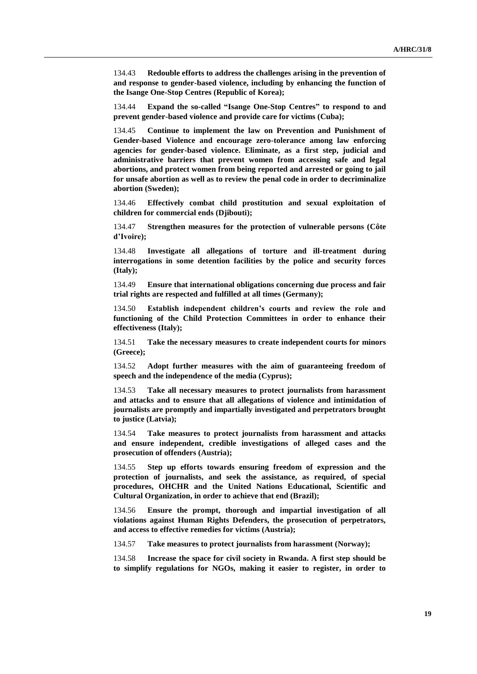134.43 **Redouble efforts to address the challenges arising in the prevention of and response to gender-based violence, including by enhancing the function of the Isange One-Stop Centres (Republic of Korea);**

134.44 **Expand the so-called "Isange One-Stop Centres" to respond to and prevent gender-based violence and provide care for victims (Cuba);**

134.45 **Continue to implement the law on Prevention and Punishment of Gender-based Violence and encourage zero-tolerance among law enforcing agencies for gender-based violence. Eliminate, as a first step, judicial and administrative barriers that prevent women from accessing safe and legal abortions, and protect women from being reported and arrested or going to jail for unsafe abortion as well as to review the penal code in order to decriminalize abortion (Sweden);**

134.46 **Effectively combat child prostitution and sexual exploitation of children for commercial ends (Djibouti);** 

134.47 **Strengthen measures for the protection of vulnerable persons (Côte d'Ivoire);**

134.48 **Investigate all allegations of torture and ill-treatment during interrogations in some detention facilities by the police and security forces (Italy);**

134.49 **Ensure that international obligations concerning due process and fair trial rights are respected and fulfilled at all times (Germany);**

134.50 **Establish independent children's courts and review the role and functioning of the Child Protection Committees in order to enhance their effectiveness (Italy);**

134.51 **Take the necessary measures to create independent courts for minors (Greece);**

134.52 **Adopt further measures with the aim of guaranteeing freedom of speech and the independence of the media (Cyprus);**

134.53 **Take all necessary measures to protect journalists from harassment and attacks and to ensure that all allegations of violence and intimidation of journalists are promptly and impartially investigated and perpetrators brought to justice (Latvia);**

134.54 **Take measures to protect journalists from harassment and attacks and ensure independent, credible investigations of alleged cases and the prosecution of offenders (Austria);**

134.55 **Step up efforts towards ensuring freedom of expression and the protection of journalists, and seek the assistance, as required, of special procedures, OHCHR and the United Nations Educational, Scientific and Cultural Organization, in order to achieve that end (Brazil);**

134.56 **Ensure the prompt, thorough and impartial investigation of all violations against Human Rights Defenders, the prosecution of perpetrators, and access to effective remedies for victims (Austria);**

134.57 **Take measures to protect journalists from harassment (Norway);**

134.58 **Increase the space for civil society in Rwanda. A first step should be to simplify regulations for NGOs, making it easier to register, in order to**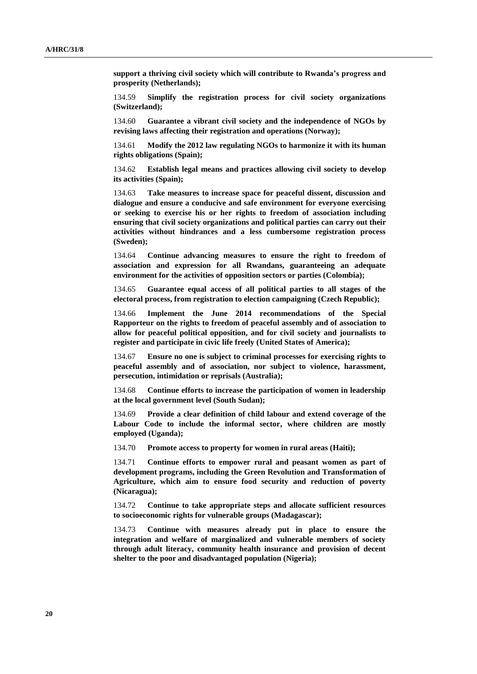**support a thriving civil society which will contribute to Rwanda's progress and prosperity (Netherlands);**

134.59 **Simplify the registration process for civil society organizations (Switzerland);**

134.60 **Guarantee a vibrant civil society and the independence of NGOs by revising laws affecting their registration and operations (Norway);**

134.61 **Modify the 2012 law regulating NGOs to harmonize it with its human rights obligations (Spain);**

134.62 **Establish legal means and practices allowing civil society to develop its activities (Spain);**

134.63 **Take measures to increase space for peaceful dissent, discussion and dialogue and ensure a conducive and safe environment for everyone exercising or seeking to exercise his or her rights to freedom of association including ensuring that civil society organizations and political parties can carry out their activities without hindrances and a less cumbersome registration process (Sweden);**

134.64 **Continue advancing measures to ensure the right to freedom of association and expression for all Rwandans, guaranteeing an adequate environment for the activities of opposition sectors or parties (Colombia);**

134.65 **Guarantee equal access of all political parties to all stages of the electoral process, from registration to election campaigning (Czech Republic);**

134.66 **Implement the June 2014 recommendations of the Special Rapporteur on the rights to freedom of peaceful assembly and of association to allow for peaceful political opposition, and for civil society and journalists to register and participate in civic life freely (United States of America);**

134.67 **Ensure no one is subject to criminal processes for exercising rights to peaceful assembly and of association, nor subject to violence, harassment, persecution, intimidation or reprisals (Australia);**

134.68 **Continue efforts to increase the participation of women in leadership at the local government level (South Sudan);**

134.69 **Provide a clear definition of child labour and extend coverage of the Labour Code to include the informal sector, where children are mostly employed (Uganda);**

134.70 **Promote access to property for women in rural areas (Haiti);**

134.71 **Continue efforts to empower rural and peasant women as part of development programs, including the Green Revolution and Transformation of Agriculture, which aim to ensure food security and reduction of poverty (Nicaragua);**

134.72 **Continue to take appropriate steps and allocate sufficient resources to socioeconomic rights for vulnerable groups (Madagascar);**

134.73 **Continue with measures already put in place to ensure the integration and welfare of marginalized and vulnerable members of society through adult literacy, community health insurance and provision of decent shelter to the poor and disadvantaged population (Nigeria);**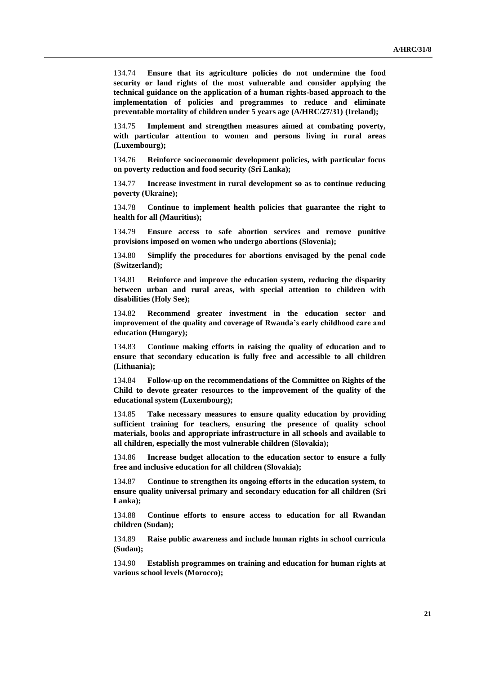134.74 **Ensure that its agriculture policies do not undermine the food security or land rights of the most vulnerable and consider applying the technical guidance on the application of a human rights-based approach to the implementation of policies and programmes to reduce and eliminate preventable mortality of children under 5 years age (A/HRC/27/31) (Ireland);**

134.75 **Implement and strengthen measures aimed at combating poverty, with particular attention to women and persons living in rural areas (Luxembourg);**

134.76 **Reinforce socioeconomic development policies, with particular focus on poverty reduction and food security (Sri Lanka);**

134.77 **Increase investment in rural development so as to continue reducing poverty (Ukraine);**

134.78 **Continue to implement health policies that guarantee the right to health for all (Mauritius);**

134.79 **Ensure access to safe abortion services and remove punitive provisions imposed on women who undergo abortions (Slovenia);**

134.80 **Simplify the procedures for abortions envisaged by the penal code (Switzerland);**

134.81 **Reinforce and improve the education system, reducing the disparity between urban and rural areas, with special attention to children with disabilities (Holy See);**

134.82 **Recommend greater investment in the education sector and improvement of the quality and coverage of Rwanda's early childhood care and education (Hungary);**

134.83 **Continue making efforts in raising the quality of education and to ensure that secondary education is fully free and accessible to all children (Lithuania);**

134.84 **Follow-up on the recommendations of the Committee on Rights of the Child to devote greater resources to the improvement of the quality of the educational system (Luxembourg);**

134.85 **Take necessary measures to ensure quality education by providing sufficient training for teachers, ensuring the presence of quality school materials, books and appropriate infrastructure in all schools and available to all children, especially the most vulnerable children (Slovakia);**

134.86 **Increase budget allocation to the education sector to ensure a fully free and inclusive education for all children (Slovakia);**

134.87 **Continue to strengthen its ongoing efforts in the education system, to ensure quality universal primary and secondary education for all children (Sri Lanka);**

134.88 **Continue efforts to ensure access to education for all Rwandan children (Sudan);**

134.89 **Raise public awareness and include human rights in school curricula (Sudan);**

134.90 **Establish programmes on training and education for human rights at various school levels (Morocco);**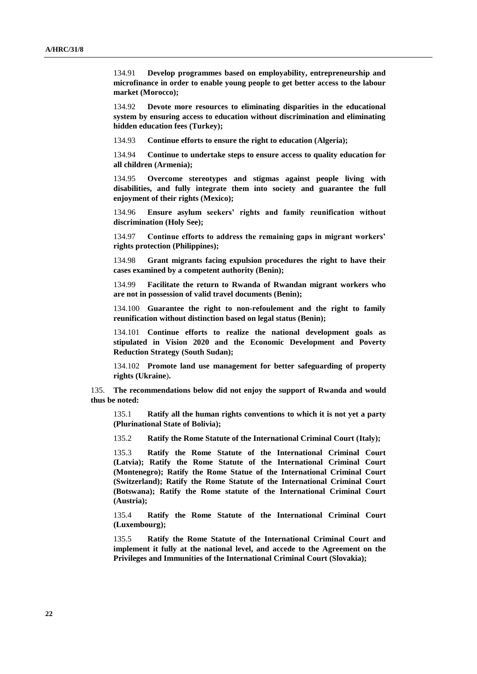134.91 **Develop programmes based on employability, entrepreneurship and microfinance in order to enable young people to get better access to the labour market (Morocco);**

134.92 **Devote more resources to eliminating disparities in the educational system by ensuring access to education without discrimination and eliminating hidden education fees (Turkey);**

134.93 **Continue efforts to ensure the right to education (Algeria);**

134.94 **Continue to undertake steps to ensure access to quality education for all children (Armenia);**

134.95 **Overcome stereotypes and stigmas against people living with disabilities, and fully integrate them into society and guarantee the full enjoyment of their rights (Mexico);**

134.96 **Ensure asylum seekers' rights and family reunification without discrimination (Holy See);**

134.97 **Continue efforts to address the remaining gaps in migrant workers' rights protection (Philippines);**

134.98 **Grant migrants facing expulsion procedures the right to have their cases examined by a competent authority (Benin);**

134.99 **Facilitate the return to Rwanda of Rwandan migrant workers who are not in possession of valid travel documents (Benin);**

134.100 **Guarantee the right to non-refoulement and the right to family reunification without distinction based on legal status (Benin);**

134.101 **Continue efforts to realize the national development goals as stipulated in Vision 2020 and the Economic Development and Poverty Reduction Strategy (South Sudan);**

134.102 **Promote land use management for better safeguarding of property rights (Ukraine**)**.**

135. **The recommendations below did not enjoy the support of Rwanda and would thus be noted:**

135.1 **Ratify all the human rights conventions to which it is not yet a party (Plurinational State of Bolivia);**

135.2 **Ratify the Rome Statute of the International Criminal Court (Italy);**

135.3 **Ratify the Rome Statute of the International Criminal Court (Latvia); Ratify the Rome Statute of the International Criminal Court (Montenegro); Ratify the Rome Statue of the International Criminal Court (Switzerland); Ratify the Rome Statute of the International Criminal Court (Botswana); Ratify the Rome statute of the International Criminal Court (Austria);**

135.4 **Ratify the Rome Statute of the International Criminal Court (Luxembourg);**

135.5 **Ratify the Rome Statute of the International Criminal Court and implement it fully at the national level, and accede to the Agreement on the Privileges and Immunities of the International Criminal Court (Slovakia);**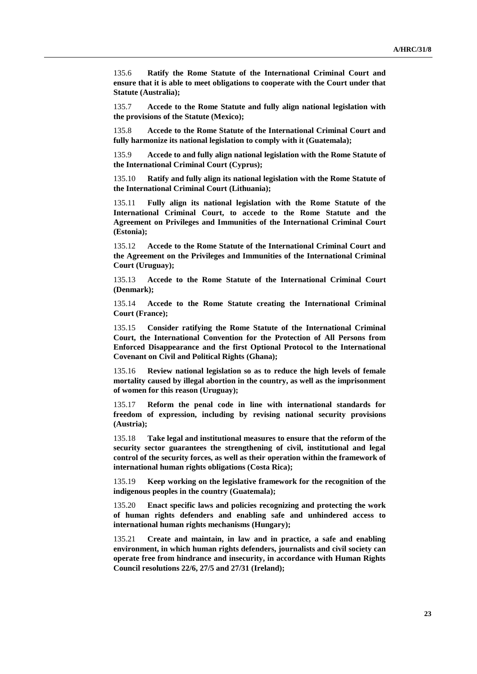135.6 **Ratify the Rome Statute of the International Criminal Court and ensure that it is able to meet obligations to cooperate with the Court under that Statute (Australia);**

135.7 **Accede to the Rome Statute and fully align national legislation with the provisions of the Statute (Mexico);**

135.8 **Accede to the Rome Statute of the International Criminal Court and fully harmonize its national legislation to comply with it (Guatemala);**

135.9 **Accede to and fully align national legislation with the Rome Statute of the International Criminal Court (Cyprus);**

135.10 **Ratify and fully align its national legislation with the Rome Statute of the International Criminal Court (Lithuania);**

135.11 **Fully align its national legislation with the Rome Statute of the International Criminal Court, to accede to the Rome Statute and the Agreement on Privileges and Immunities of the International Criminal Court (Estonia);**

135.12 **Accede to the Rome Statute of the International Criminal Court and the Agreement on the Privileges and Immunities of the International Criminal Court (Uruguay);**

135.13 **Accede to the Rome Statute of the International Criminal Court (Denmark);**

135.14 **Accede to the Rome Statute creating the International Criminal Court (France);**

135.15 **Consider ratifying the Rome Statute of the International Criminal Court, the International Convention for the Protection of All Persons from Enforced Disappearance and the first Optional Protocol to the International Covenant on Civil and Political Rights (Ghana);**

135.16 **Review national legislation so as to reduce the high levels of female mortality caused by illegal abortion in the country, as well as the imprisonment of women for this reason (Uruguay);**

135.17 **Reform the penal code in line with international standards for freedom of expression, including by revising national security provisions (Austria);**

135.18 **Take legal and institutional measures to ensure that the reform of the security sector guarantees the strengthening of civil, institutional and legal control of the security forces, as well as their operation within the framework of international human rights obligations (Costa Rica);**

135.19 **Keep working on the legislative framework for the recognition of the indigenous peoples in the country (Guatemala);**

135.20 **Enact specific laws and policies recognizing and protecting the work of human rights defenders and enabling safe and unhindered access to international human rights mechanisms (Hungary);**

135.21 **Create and maintain, in law and in practice, a safe and enabling environment, in which human rights defenders, journalists and civil society can operate free from hindrance and insecurity, in accordance with Human Rights Council resolutions 22/6, 27/5 and 27/31 (Ireland);**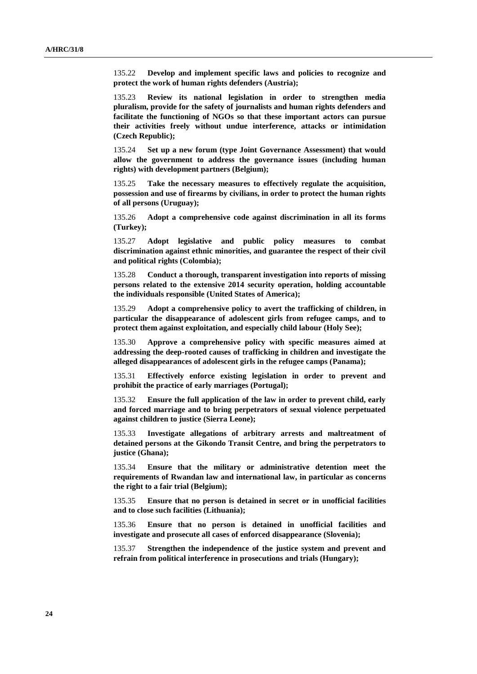135.22 **Develop and implement specific laws and policies to recognize and protect the work of human rights defenders (Austria);**

135.23 **Review its national legislation in order to strengthen media pluralism, provide for the safety of journalists and human rights defenders and facilitate the functioning of NGOs so that these important actors can pursue their activities freely without undue interference, attacks or intimidation (Czech Republic);**

135.24 **Set up a new forum (type Joint Governance Assessment) that would allow the government to address the governance issues (including human rights) with development partners (Belgium);**

135.25 **Take the necessary measures to effectively regulate the acquisition, possession and use of firearms by civilians, in order to protect the human rights of all persons (Uruguay);**

135.26 **Adopt a comprehensive code against discrimination in all its forms (Turkey);**

135.27 **Adopt legislative and public policy measures to combat discrimination against ethnic minorities, and guarantee the respect of their civil and political rights (Colombia);**

135.28 **Conduct a thorough, transparent investigation into reports of missing persons related to the extensive 2014 security operation, holding accountable the individuals responsible (United States of America);**

135.29 **Adopt a comprehensive policy to avert the trafficking of children, in particular the disappearance of adolescent girls from refugee camps, and to protect them against exploitation, and especially child labour (Holy See);**

135.30 **Approve a comprehensive policy with specific measures aimed at addressing the deep-rooted causes of trafficking in children and investigate the alleged disappearances of adolescent girls in the refugee camps (Panama);**

135.31 **Effectively enforce existing legislation in order to prevent and prohibit the practice of early marriages (Portugal);**

135.32 **Ensure the full application of the law in order to prevent child, early and forced marriage and to bring perpetrators of sexual violence perpetuated against children to justice (Sierra Leone);**

135.33 **Investigate allegations of arbitrary arrests and maltreatment of detained persons at the Gikondo Transit Centre, and bring the perpetrators to justice (Ghana);**

135.34 **Ensure that the military or administrative detention meet the requirements of Rwandan law and international law, in particular as concerns the right to a fair trial (Belgium);**

135.35 **Ensure that no person is detained in secret or in unofficial facilities and to close such facilities (Lithuania);**

135.36 **Ensure that no person is detained in unofficial facilities and investigate and prosecute all cases of enforced disappearance (Slovenia);**

135.37 **Strengthen the independence of the justice system and prevent and refrain from political interference in prosecutions and trials (Hungary);**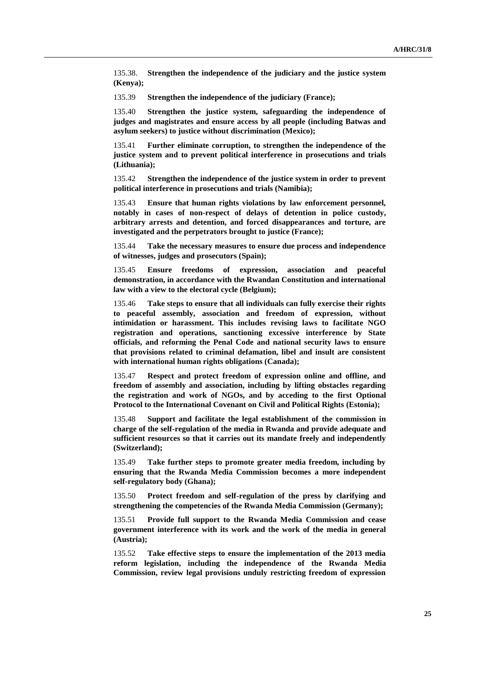135.38. **Strengthen the independence of the judiciary and the justice system (Kenya);**

135.39 **Strengthen the independence of the judiciary (France);**

135.40 **Strengthen the justice system, safeguarding the independence of judges and magistrates and ensure access by all people (including Batwas and asylum seekers) to justice without discrimination (Mexico);**

135.41 **Further eliminate corruption, to strengthen the independence of the justice system and to prevent political interference in prosecutions and trials (Lithuania);**

135.42 **Strengthen the independence of the justice system in order to prevent political interference in prosecutions and trials (Namibia);**

135.43 **Ensure that human rights violations by law enforcement personnel, notably in cases of non-respect of delays of detention in police custody, arbitrary arrests and detention, and forced disappearances and torture, are investigated and the perpetrators brought to justice (France);**

135.44 **Take the necessary measures to ensure due process and independence of witnesses, judges and prosecutors (Spain);**

135.45 **Ensure freedoms of expression, association and peaceful demonstration, in accordance with the Rwandan Constitution and international law with a view to the electoral cycle (Belgium);**

135.46 **Take steps to ensure that all individuals can fully exercise their rights to peaceful assembly, association and freedom of expression, without intimidation or harassment. This includes revising laws to facilitate NGO registration and operations, sanctioning excessive interference by State officials, and reforming the Penal Code and national security laws to ensure that provisions related to criminal defamation, libel and insult are consistent with international human rights obligations (Canada);**

135.47 **Respect and protect freedom of expression online and offline, and freedom of assembly and association, including by lifting obstacles regarding the registration and work of NGOs, and by acceding to the first Optional Protocol to the International Covenant on Civil and Political Rights (Estonia);**

135.48 **Support and facilitate the legal establishment of the commission in charge of the self-regulation of the media in Rwanda and provide adequate and sufficient resources so that it carries out its mandate freely and independently (Switzerland);**

135.49 **Take further steps to promote greater media freedom, including by ensuring that the Rwanda Media Commission becomes a more independent self-regulatory body (Ghana);**

135.50 **Protect freedom and self-regulation of the press by clarifying and strengthening the competencies of the Rwanda Media Commission (Germany);**

135.51 **Provide full support to the Rwanda Media Commission and cease government interference with its work and the work of the media in general (Austria);**

135.52 **Take effective steps to ensure the implementation of the 2013 media reform legislation, including the independence of the Rwanda Media Commission, review legal provisions unduly restricting freedom of expression**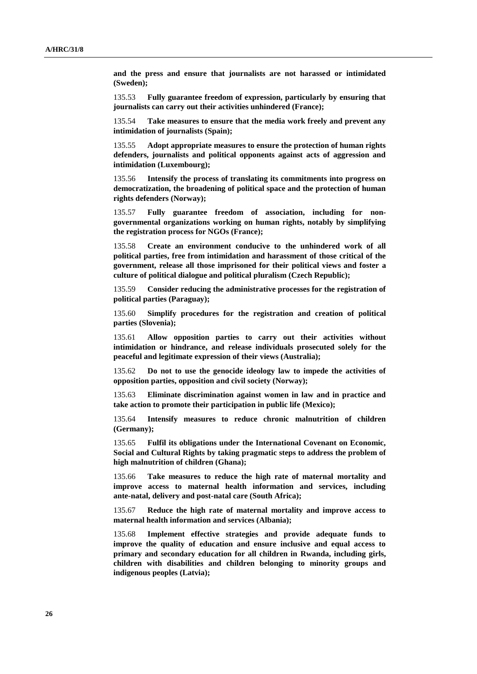**and the press and ensure that journalists are not harassed or intimidated (Sweden);**

135.53 **Fully guarantee freedom of expression, particularly by ensuring that journalists can carry out their activities unhindered (France);**

135.54 **Take measures to ensure that the media work freely and prevent any intimidation of journalists (Spain);**

135.55 **Adopt appropriate measures to ensure the protection of human rights defenders, journalists and political opponents against acts of aggression and intimidation (Luxembourg);**

135.56 **Intensify the process of translating its commitments into progress on democratization, the broadening of political space and the protection of human rights defenders (Norway);**

135.57 **Fully guarantee freedom of association, including for nongovernmental organizations working on human rights, notably by simplifying the registration process for NGOs (France);**

135.58 **Create an environment conducive to the unhindered work of all political parties, free from intimidation and harassment of those critical of the government, release all those imprisoned for their political views and foster a culture of political dialogue and political pluralism (Czech Republic);**

135.59 **Consider reducing the administrative processes for the registration of political parties (Paraguay);**

135.60 **Simplify procedures for the registration and creation of political parties (Slovenia);**

135.61 **Allow opposition parties to carry out their activities without intimidation or hindrance, and release individuals prosecuted solely for the peaceful and legitimate expression of their views (Australia);**

135.62 **Do not to use the genocide ideology law to impede the activities of opposition parties, opposition and civil society (Norway);**

135.63 **Eliminate discrimination against women in law and in practice and take action to promote their participation in public life (Mexico);**

135.64 **Intensify measures to reduce chronic malnutrition of children (Germany);**

135.65 **Fulfil its obligations under the International Covenant on Economic, Social and Cultural Rights by taking pragmatic steps to address the problem of high malnutrition of children (Ghana);**

135.66 **Take measures to reduce the high rate of maternal mortality and improve access to maternal health information and services, including ante-natal, delivery and post-natal care (South Africa);**

135.67 **Reduce the high rate of maternal mortality and improve access to maternal health information and services (Albania);**

135.68 **Implement effective strategies and provide adequate funds to improve the quality of education and ensure inclusive and equal access to primary and secondary education for all children in Rwanda, including girls, children with disabilities and children belonging to minority groups and indigenous peoples (Latvia);**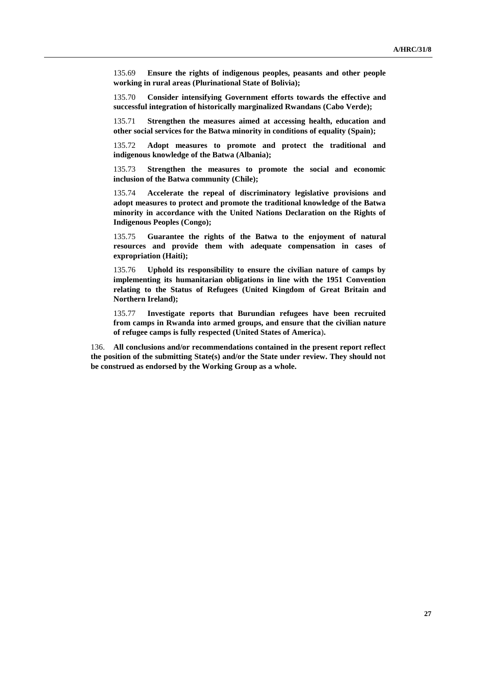135.69 **Ensure the rights of indigenous peoples, peasants and other people working in rural areas (Plurinational State of Bolivia);**

135.70 **Consider intensifying Government efforts towards the effective and successful integration of historically marginalized Rwandans (Cabo Verde);**

135.71 **Strengthen the measures aimed at accessing health, education and other social services for the Batwa minority in conditions of equality (Spain);**

135.72 **Adopt measures to promote and protect the traditional and indigenous knowledge of the Batwa (Albania);**

135.73 **Strengthen the measures to promote the social and economic inclusion of the Batwa community (Chile);**

135.74 **Accelerate the repeal of discriminatory legislative provisions and adopt measures to protect and promote the traditional knowledge of the Batwa minority in accordance with the United Nations Declaration on the Rights of Indigenous Peoples (Congo);**

135.75 **Guarantee the rights of the Batwa to the enjoyment of natural resources and provide them with adequate compensation in cases of expropriation (Haiti);**

135.76 **Uphold its responsibility to ensure the civilian nature of camps by implementing its humanitarian obligations in line with the 1951 Convention relating to the Status of Refugees (United Kingdom of Great Britain and Northern Ireland);**

135.77 **Investigate reports that Burundian refugees have been recruited from camps in Rwanda into armed groups, and ensure that the civilian nature of refugee camps is fully respected (United States of America**)**.**

136. **All conclusions and/or recommendations contained in the present report reflect the position of the submitting State(s) and/or the State under review. They should not be construed as endorsed by the Working Group as a whole.**